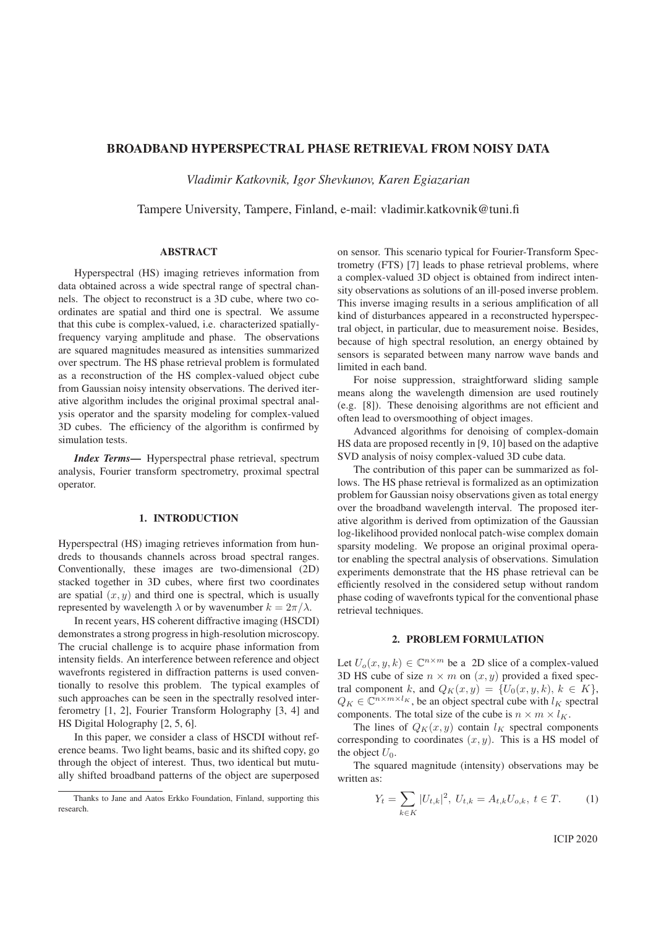# BROADBAND HYPERSPECTRAL PHASE RETRIEVAL FROM NOISY DATA

*Vladimir Katkovnik, Igor Shevkunov, Karen Egiazarian*

Tampere University, Tampere, Finland, e-mail: vladimir.katkovnik@tuni.fi

# ABSTRACT

Hyperspectral (HS) imaging retrieves information from data obtained across a wide spectral range of spectral channels. The object to reconstruct is a 3D cube, where two coordinates are spatial and third one is spectral. We assume that this cube is complex-valued, i.e. characterized spatiallyfrequency varying amplitude and phase. The observations are squared magnitudes measured as intensities summarized over spectrum. The HS phase retrieval problem is formulated as a reconstruction of the HS complex-valued object cube from Gaussian noisy intensity observations. The derived iterative algorithm includes the original proximal spectral analysis operator and the sparsity modeling for complex-valued 3D cubes. The efficiency of the algorithm is confirmed by simulation tests.

*Index Terms*— Hyperspectral phase retrieval, spectrum analysis, Fourier transform spectrometry, proximal spectral operator.

# 1. INTRODUCTION

Hyperspectral (HS) imaging retrieves information from hundreds to thousands channels across broad spectral ranges. Conventionally, these images are two-dimensional (2D) stacked together in 3D cubes, where first two coordinates are spatial  $(x, y)$  and third one is spectral, which is usually represented by wavelength  $\lambda$  or by wavenumber  $k = 2\pi/\lambda$ .

In recent years, HS coherent diffractive imaging (HSCDI) demonstrates a strong progress in high-resolution microscopy. The crucial challenge is to acquire phase information from intensity fields. An interference between reference and object wavefronts registered in diffraction patterns is used conventionally to resolve this problem. The typical examples of such approaches can be seen in the spectrally resolved interferometry [1, 2], Fourier Transform Holography [3, 4] and HS Digital Holography [2, 5, 6].

In this paper, we consider a class of HSCDI without reference beams. Two light beams, basic and its shifted copy, go through the object of interest. Thus, two identical but mutually shifted broadband patterns of the object are superposed on sensor. This scenario typical for Fourier-Transform Spectrometry (FTS) [7] leads to phase retrieval problems, where a complex-valued 3D object is obtained from indirect intensity observations as solutions of an ill-posed inverse problem. This inverse imaging results in a serious amplification of all kind of disturbances appeared in a reconstructed hyperspectral object, in particular, due to measurement noise. Besides, because of high spectral resolution, an energy obtained by sensors is separated between many narrow wave bands and limited in each band.

For noise suppression, straightforward sliding sample means along the wavelength dimension are used routinely (e.g. [8]). These denoising algorithms are not efficient and often lead to oversmoothing of object images.

Advanced algorithms for denoising of complex-domain HS data are proposed recently in [9, 10] based on the adaptive SVD analysis of noisy complex-valued 3D cube data.

The contribution of this paper can be summarized as follows. The HS phase retrieval is formalized as an optimization problem for Gaussian noisy observations given as total energy over the broadband wavelength interval. The proposed iterative algorithm is derived from optimization of the Gaussian log-likelihood provided nonlocal patch-wise complex domain sparsity modeling. We propose an original proximal operator enabling the spectral analysis of observations. Simulation experiments demonstrate that the HS phase retrieval can be efficiently resolved in the considered setup without random phase coding of wavefronts typical for the conventional phase retrieval techniques.

#### 2. PROBLEM FORMULATION

Let  $U_o(x, y, k) \in \mathbb{C}^{n \times m}$  be a 2D slice of a complex-valued 3D HS cube of size  $n \times m$  on  $(x, y)$  provided a fixed spectral component k, and  $Q_K(x, y) = \{U_0(x, y, k), k \in K\},\$  $Q_K \in \mathbb{C}^{n \times m \times l_K}$ , be an object spectral cube with  $l_K$  spectral components. The total size of the cube is  $n \times m \times l_K$ .

The lines of  $Q_K(x, y)$  contain  $l_K$  spectral components corresponding to coordinates  $(x, y)$ . This is a HS model of the object  $U_0$ .

The squared magnitude (intensity) observations may be written as:

$$
Y_t = \sum_{k \in K} |U_{t,k}|^2, \ U_{t,k} = A_{t,k} U_{o,k}, \ t \in T. \tag{1}
$$

**ICIP 2020** 

Thanks to Jane and Aatos Erkko Foundation, Finland, supporting this research.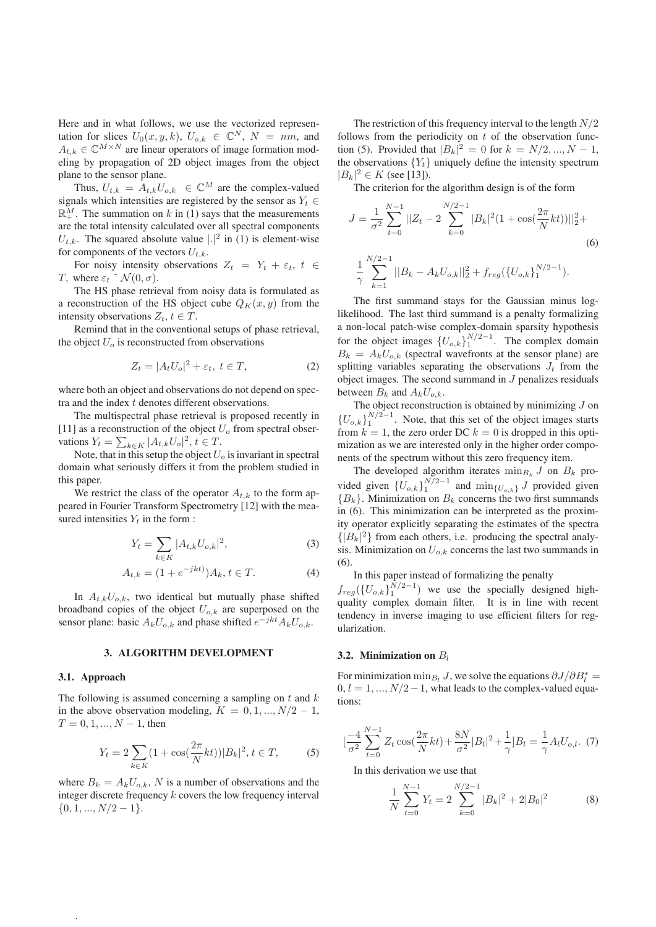Here and in what follows, we use the vectorized representation for slices  $U_0(x, y, k)$ ,  $U_{o,k} \in \mathbb{C}^N$ ,  $N = nm$ , and  $A_{t,k} \in \mathbb{C}^{M \times N}$  are linear operators of image formation modeling by propagation of 2D object images from the object plane to the sensor plane.

Thus,  $U_{t,k} = A_{t,k} U_{o,k} \in \mathbb{C}^{M}$  are the complex-valued signals which intensities are registered by the sensor as  $Y_t \in$  $\mathbb{R}$ <sup>M</sup>. The summation on k in (1) says that the measurements are the total intensity calculated over all spectral components  $U_{t,k}$ . The squared absolute value  $\vert . \vert^2$  in (1) is element-wise for components of the vectors  $U_{t,k}$ .

For noisy intensity observations  $Z_t = Y_t + \varepsilon_t$ ,  $t \in$ T, where  $\varepsilon_t \tilde{\;} \mathcal{N}(0, \sigma)$ .

The HS phase retrieval from noisy data is formulated as a reconstruction of the HS object cube  $Q_K(x, y)$  from the intensity observations  $Z_t$ ,  $t \in T$ .

Remind that in the conventional setups of phase retrieval, the object  $U<sub>o</sub>$  is reconstructed from observations

$$
Z_t = |A_t U_o|^2 + \varepsilon_t, \ t \in T,
$$
 (2)

where both an object and observations do not depend on spectra and the index t denotes different observations.

The multispectral phase retrieval is proposed recently in [11] as a reconstruction of the object  $U<sub>o</sub>$  from spectral observations  $Y_t = \sum_{k \in K} |A_{t,k} U_o|^2, t \in T$ .<br>Note that in this setup the object II

Note, that in this setup the object  $U<sub>o</sub>$  is invariant in spectral domain what seriously differs it from the problem studied in this paper.

We restrict the class of the operator  $A_{t,k}$  to the form appeared in Fourier Transform Spectrometry [12] with the measured intensities  $Y_t$  in the form :

$$
Y_t = \sum_{k \in K} |A_{t,k} U_{o,k}|^2,
$$
 (3)

$$
A_{t,k} = (1 + e^{-jkt})A_k, t \in T.
$$
 (4)

In  $A_{t,k}U_{o,k}$ , two identical but mutually phase shifted broadband copies of the object  $U_{o,k}$  are superposed on the sensor plane: basic  $A_kU_{o,k}$  and phase shifted  $e^{-jkt}A_kU_{o,k}$ .

## 3. ALGORITHM DEVELOPMENT

#### 3.1. Approach

.

The following is assumed concerning a sampling on  $t$  and  $k$ in the above observation modeling,  $K = 0, 1, ..., N/2 - 1$ ,  $T = 0, 1, ..., N - 1$ , then

$$
Y_t = 2\sum_{k \in K} (1 + \cos(\frac{2\pi}{N}kt)) |B_k|^2, t \in T,
$$
 (5)

where  $B_k = A_k U_{o,k}$ , N is a number of observations and the integer discrete frequency  $k$  covers the low frequency interval  $\{0, 1, ..., N/2 - 1\}.$ 

The restriction of this frequency interval to the length  $N/2$ follows from the periodicity on  $t$  of the observation function (5). Provided that  $|B_k|^2 = 0$  for  $k = N/2, ..., N - 1$ ,<br>the observations  $[N]$  uniqually define the intensity energy the observations  ${Y_t}$  uniquely define the intensity spectrum  $|B_k|^2 \in K$  (see [13]).<br>The criterian for t

The criterion for the algorithm design is of the form

$$
J = \frac{1}{\sigma^2} \sum_{t=0}^{N-1} ||Z_t - 2 \sum_{k=0}^{N/2-1} |B_k|^2 (1 + \cos(\frac{2\pi}{N}kt))||_2^2 +
$$
  

$$
\frac{1}{\gamma} \sum_{k=1}^{N/2-1} ||B_k - A_k U_{o,k}||_2^2 + f_{reg}(\{U_{o,k}\}_1^{N/2-1}).
$$
 (6)

The first summand stays for the Gaussian minus loglikelihood. The last third summand is a penalty formalizing a non-local patch-wise complex-domain sparsity hypothesis for the object images  ${U_{o,k}}_1^{N/2-1}$ . The complex domain  $B_k = A_k U_{o,k}$  (spectral wavefronts at the sensor plane) are splitting variables separating the observations  $J_t$  from the object images. The second summand in J penalizes residuals between  $B_k$  and  $A_kU_{o,k}$ .

The object reconstruction is obtained by minimizing  $J$  on  ${U_{o,k}}_1^{N/2-1}$ . Note, that this set of the object images starts from  $k = 1$ , the zero order DC  $k = 0$  is dropped in this optimization as we are interested only in the higher order components of the spectrum without this zero frequency item.

The developed algorithm iterates  $\min_{B_k} J$  on  $B_k$  provided given  ${U_{o,k}}_1^{N/2-1}$  and  $\min_{\{U_{o,k}\}} J$  provided given  ${B_k}$ . Minimization on  $B_k$  concerns the two first summands in (6). This minimization can be interpreted as the proximity operator explicitly separating the estimates of the spectra  $\{|B_k|^2\}$  from each others, i.e. producing the spectral analy-<br>signal Minimization on  $H_{\text{eff}}$  concerns the last two summands in sis. Minimization on  $U_{o,k}$  concerns the last two summands in (6).

In this paper instead of formalizing the penalty

 $f_{reg}(\{U_{o,k}\}_{1}^{N/2-1})$  we use the specially designed high-<br>quality complex domain filter. It is in line with recent quality complex domain filter. It is in line with recent tendency in inverse imaging to use efficient filters for regularization.

### 3.2. Minimization on  $B_l$

For minimization min<sub>Bi</sub> J, we solve the equations  $\partial J/\partial B_l^* =$ <br>0  $l = 1$   $N/2 = 1$  what leads to the complex-valued equa- $0, l = 1, ..., N/2-1$ , what leads to the complex-valued equations:

$$
\left[\frac{-4}{\sigma^2} \sum_{t=0}^{N-1} Z_t \cos\left(\frac{2\pi}{N}kt\right) + \frac{8N}{\sigma^2} |B_l|^2 + \frac{1}{\gamma} |B_l = \frac{1}{\gamma} A_l U_{o,l}.\tag{7}
$$

In this derivation we use that

$$
\frac{1}{N} \sum_{t=0}^{N-1} Y_t = 2 \sum_{k=0}^{N/2-1} |B_k|^2 + 2|B_0|^2 \tag{8}
$$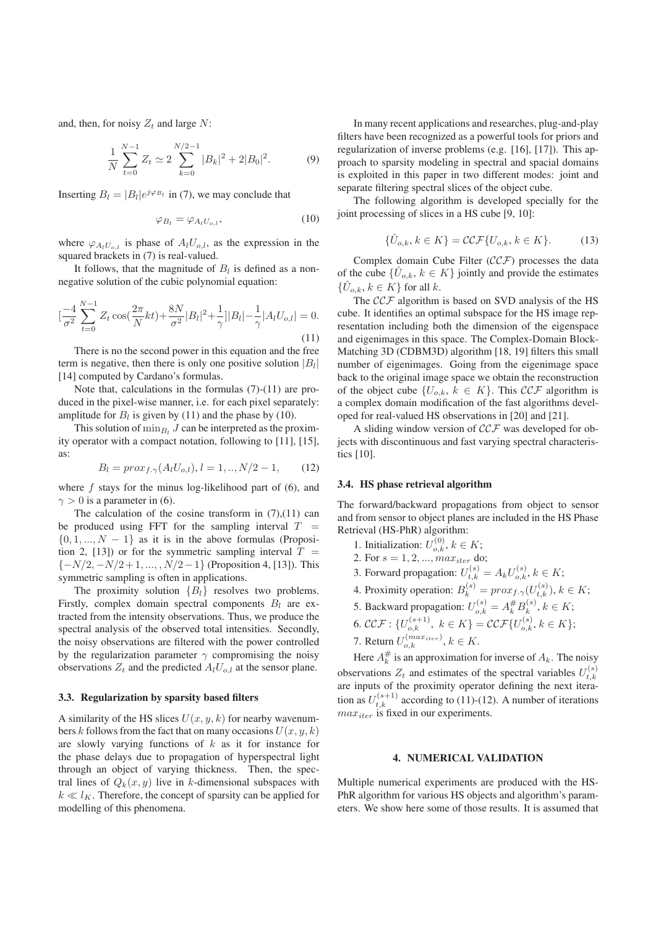and, then, for noisy  $Z_t$  and large N:

$$
\frac{1}{N} \sum_{t=0}^{N-1} Z_t \simeq 2 \sum_{k=0}^{N/2-1} |B_k|^2 + 2|B_0|^2. \tag{9}
$$

Inserting  $B_l = |B_l|e^{j\varphi_{B_l}}$  in (7), we may conclude that

$$
\varphi_{B_l} = \varphi_{A_l U_{o,l}},\tag{10}
$$

where  $\varphi_{A_iU_{o,l}}$  is phase of  $A_iU_{o,l}$ , as the expression in the squared brackets in (7) is real-valued.

It follows, that the magnitude of  $B_l$  is defined as a nonnegative solution of the cubic polynomial equation:

$$
\left[\frac{-4}{\sigma^2} \sum_{t=0}^{N-1} Z_t \cos(\frac{2\pi}{N} kt) + \frac{8N}{\sigma^2} |B_l|^2 + \frac{1}{\gamma} |B_l| - \frac{1}{\gamma} |A_l U_{o,l}| = 0. \right]
$$
\n(11)

There is no the second power in this equation and the free term is negative, then there is only one positive solution  $|B_l|$ [14] computed by Cardano's formulas.

Note that, calculations in the formulas (7)-(11) are produced in the pixel-wise manner, i.e. for each pixel separately: amplitude for  $B_l$  is given by (11) and the phase by (10).

This solution of  $\min_{B_i} J$  can be interpreted as the proximity operator with a compact notation, following to [11], [15], as:

$$
B_l = prox_{f,\gamma}(A_l U_{o,l}), l = 1,.., N/2 - 1,
$$
 (12)

where  $f$  stays for the minus log-likelihood part of  $(6)$ , and  $\gamma > 0$  is a parameter in (6).

The calculation of the cosine transform in  $(7)$ , $(11)$  can be produced using FFT for the sampling interval  $T =$  $\{0, 1, ..., N - 1\}$  as it is in the above formulas (Proposition 2, [13]) or for the symmetric sampling interval  $T =$  $\{-N/2, -N/2+1, ..., N/2-1\}$  (Proposition 4, [13]). This symmetric sampling is often in applications.

The proximity solution  ${B<sub>l</sub>}$  resolves two problems. Firstly, complex domain spectral components  $B_l$  are extracted from the intensity observations. Thus, we produce the spectral analysis of the observed total intensities. Secondly, the noisy observations are filtered with the power controlled by the regularization parameter  $\gamma$  compromising the noisy observations  $Z_t$  and the predicted  $A_l U_{o,l}$  at the sensor plane.

### 3.3. Regularization by sparsity based filters

A similarity of the HS slices  $U(x, y, k)$  for nearby wavenumbers k follows from the fact that on many occasions  $U(x, y, k)$ are slowly varying functions of  $k$  as it for instance for the phase delays due to propagation of hyperspectral light through an object of varying thickness. Then, the spectral lines of  $Q_k(x, y)$  live in k-dimensional subspaces with  $k \ll l_K$ . Therefore, the concept of sparsity can be applied for modelling of this phenomena.

In many recent applications and researches, plug-and-play filters have been recognized as a powerful tools for priors and regularization of inverse problems (e.g. [16], [17]). This approach to sparsity modeling in spectral and spacial domains is exploited in this paper in two different modes: joint and separate filtering spectral slices of the object cube.

The following algorithm is developed specially for the joint processing of slices in a HS cube [9, 10]:

$$
\{\hat{U}_{o,k}, k \in K\} = \mathcal{CCF}\{U_{o,k}, k \in K\}.
$$
 (13)

Complex domain Cube Filter  $(CCF)$  processes the data of the cube  $\{\hat{U}_{o,k}, k \in K\}$  jointly and provide the estimates  $\{\hat{U}_{o,k}, k \in K\}$  for all k.

The  $CCF$  algorithm is based on SVD analysis of the HS cube. It identifies an optimal subspace for the HS image representation including both the dimension of the eigenspace and eigenimages in this space. The Complex-Domain Block-Matching 3D (CDBM3D) algorithm [18, 19] filters this small number of eigenimages. Going from the eigenimage space back to the original image space we obtain the reconstruction of the object cube  $\{U_{o,k}, k \in K\}$ . This  $\mathcal{CCF}$  algorithm is a complex domain modification of the fast algorithms developed for real-valued HS observations in [20] and [21].

A sliding window version of  $CCF$  was developed for objects with discontinuous and fast varying spectral characteristics [10].

#### 3.4. HS phase retrieval algorithm

The forward/backward propagations from object to sensor and from sensor to object planes are included in the HS Phase Retrieval (HS-PhR) algorithm:

- 1. Initialization:  $U_{o,k}^{(0)}$ ,  $k \in K$ ;<br>2. For  $s = 1, 2$ , maximum
- 2. For  $s = 1, 2, ..., max_{iter}$  do;
- 3. Forward propagation:  $U_{t,k}^{(s)} = A_k U_{o,k}^{(s)}$ ,  $k \in K$ ;
- 4. Proximity operation:  $B_k^{(s)} = prox_{f, \gamma}(U_{t, k}^{(s)}), k \in K;$
- 5. Backward propagation:  $U_{o,k}^{(s)} = A_k^{\#} B_k^{(s)}$ ,  $k \in K$ ;
- 6.  $\mathcal{CCF}: \{U_{o,k}^{(s+1)}, k \in K\} = \mathcal{CCF}\{U_{o,k}^{(s)}, k \in K\};$
- 7. Return  $U_{o,k}^{(max_{iter})}$ ,  $k \in K$ .

Here  $A_k^{\#}$  is an approximation for inverse of  $A_k$ . The noisy observations  $Z_t$  and estimates of the spectral variables  $U_{t,k}^{(s)}$ are inputs of the proximity operator defining the next iteration as  $U_{t,k}^{(s+1)}$  according to (11)-(12). A number of iterations  $max_{t \in \mathbb{R}}$  is fixed in our experiments  $max_{iter}$  is fixed in our experiments.

## 4. NUMERICAL VALIDATION

Multiple numerical experiments are produced with the HS-PhR algorithm for various HS objects and algorithm's parameters. We show here some of those results. It is assumed that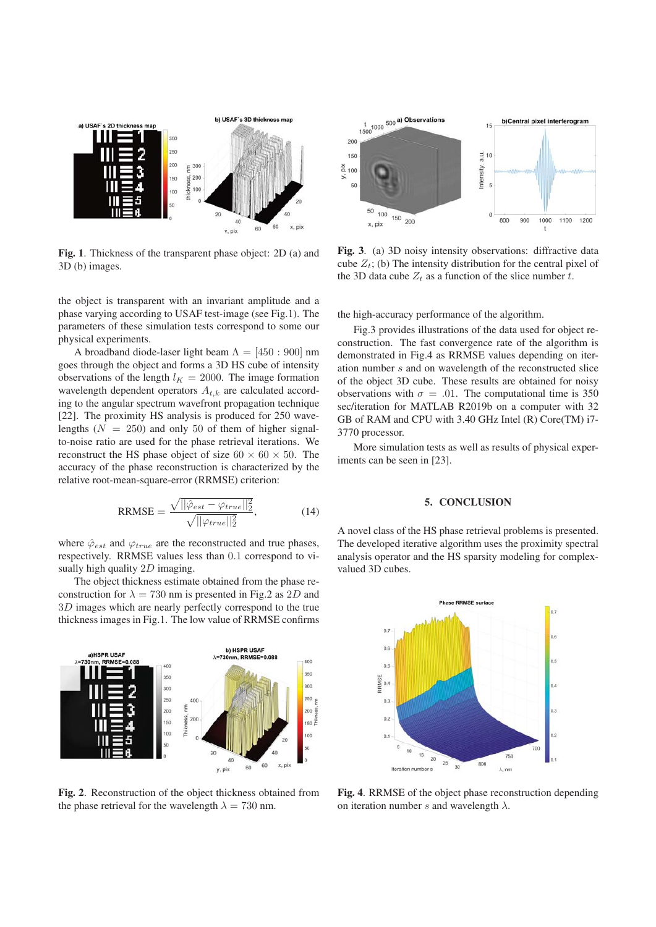

Fig. 1. Thickness of the transparent phase object: 2D (a) and 3D (b) images.

the object is transparent with an invariant amplitude and a phase varying according to USAF test-image (see Fig.1). The parameters of these simulation tests correspond to some our physical experiments.

A broadband diode-laser light beam  $\Lambda = [450 : 900]$  nm goes through the object and forms a 3D HS cube of intensity observations of the length  $l_K = 2000$ . The image formation wavelength dependent operators  $A_{t,k}$  are calculated according to the angular spectrum wavefront propagation technique [22]. The proximity HS analysis is produced for 250 wavelengths  $(N = 250)$  and only 50 of them of higher signalto-noise ratio are used for the phase retrieval iterations. We reconstruct the HS phase object of size  $60 \times 60 \times 50$ . The accuracy of the phase reconstruction is characterized by the relative root-mean-square-error (RRMSE) criterion:

$$
RRMSE = \frac{\sqrt{||\hat{\varphi}_{est} - \varphi_{true}||_2^2}}{\sqrt{||\varphi_{true}||_2^2}},
$$
(14)

where  $\hat{\varphi}_{est}$  and  $\varphi_{true}$  are the reconstructed and true phases, respectively. RRMSE values less than 0.1 correspond to visually high quality 2D imaging.

The object thickness estimate obtained from the phase reconstruction for  $\lambda = 730$  nm is presented in Fig.2 as 2D and 3D images which are nearly perfectly correspond to the true thickness images in Fig.1. The low value of RRMSE confirms



Fig. 2. Reconstruction of the object thickness obtained from the phase retrieval for the wavelength  $\lambda = 730$  nm.



Fig. 3. (a) 3D noisy intensity observations: diffractive data cube  $Z_t$ ; (b) The intensity distribution for the central pixel of the 3D data cube  $Z_t$  as a function of the slice number t.

the high-accuracy performance of the algorithm.

Fig.3 provides illustrations of the data used for object reconstruction. The fast convergence rate of the algorithm is demonstrated in Fig.4 as RRMSE values depending on iteration number s and on wavelength of the reconstructed slice of the object 3D cube. These results are obtained for noisy observations with  $\sigma = .01$ . The computational time is 350 sec/iteration for MATLAB R2019b on a computer with 32 GB of RAM and CPU with 3.40 GHz Intel (R) Core(TM) i7- 3770 processor.

More simulation tests as well as results of physical experiments can be seen in [23].

#### 5. CONCLUSION

A novel class of the HS phase retrieval problems is presented. The developed iterative algorithm uses the proximity spectral analysis operator and the HS sparsity modeling for complexvalued 3D cubes.



Fig. 4. RRMSE of the object phase reconstruction depending on iteration number s and wavelength  $\lambda$ .